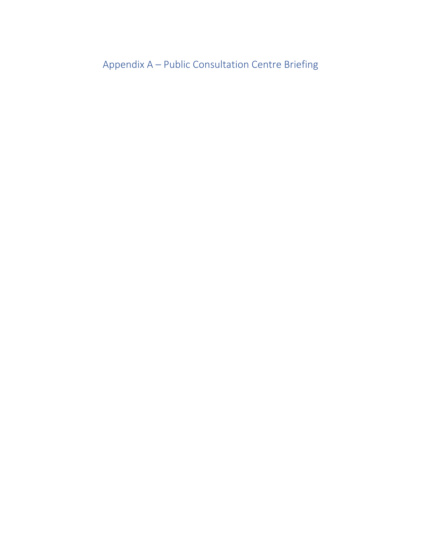Appendix A – Public Consultation Centre Briefing